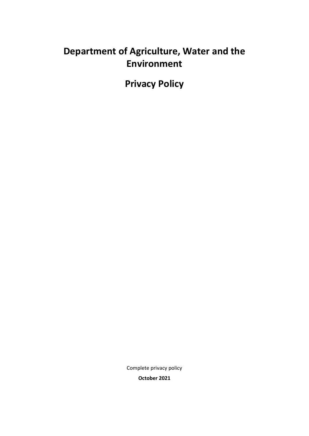# **Department of Agriculture, Water and the Environment**

**Privacy Policy** 

Complete privacy policy

**October 2021**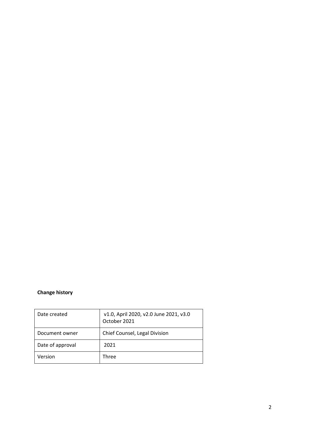### **Change history**

| Date created     | v1.0, April 2020, v2.0 June 2021, v3.0<br>October 2021 |
|------------------|--------------------------------------------------------|
| Document owner   | Chief Counsel, Legal Division                          |
| Date of approval | 2021                                                   |
| Version          | Three                                                  |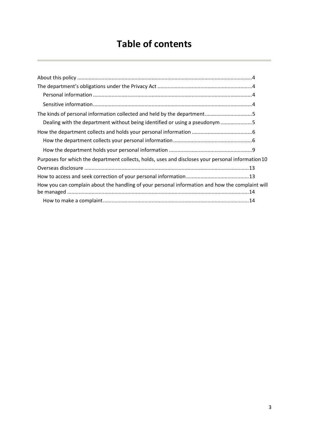# **Table of contents**

| Dealing with the department without being identified or using a pseudonym 5                        |  |
|----------------------------------------------------------------------------------------------------|--|
|                                                                                                    |  |
|                                                                                                    |  |
|                                                                                                    |  |
| Purposes for which the department collects, holds, uses and discloses your personal information 10 |  |
|                                                                                                    |  |
|                                                                                                    |  |
| How you can complain about the handling of your personal information and how the complaint will    |  |
|                                                                                                    |  |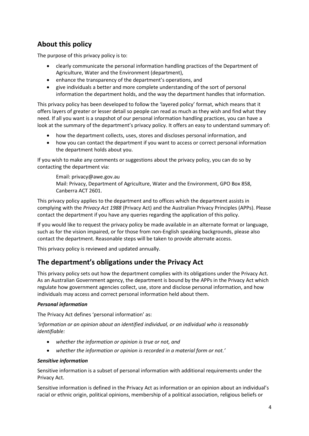# <span id="page-3-0"></span>**About this policy**

The purpose of this privacy policy is to:

- clearly communicate the personal information handling practices of the Department of Agriculture, Water and the Environment (department),
- enhance the transparency of the department's operations, and
- give individuals a better and more complete understanding of the sort of personal information the department holds, and the way the department handles that information.

This privacy policy has been developed to follow the 'layered policy' format, which means that it offers layers of greater or lesser detail so people can read as much as they wish and find what they need. If all you want is a snapshot of our personal information handling practices, you can have a look at the summary of the department's privacy policy. It offers an easy to understand summary of:

- how the department collects, uses, stores and discloses personal information, and
- how you can contact the department if you want to access or correct personal information the department holds about you.

If you wish to make any comments or suggestions about the privacy policy, you can do so by contacting the department via:

Email: privacy@awe.gov.au Mail: Privacy, Department of Agriculture, Water and the Environment, GPO Box 858, Canberra ACT 2601.

This privacy policy applies to the department and to offices which the department assists in complying with the *Privacy Act 1988* (Privacy Act) and the Australian Privacy Principles (APPs). Please contact the department if you have any queries regarding the application of this policy.

If you would like to request the privacy policy be made available in an alternate format or language, such as for the vision impaired, or for those from non-English speaking backgrounds, please also contact the department. Reasonable steps will be taken to provide alternate access.

This privacy policy is reviewed and updated annually.

### <span id="page-3-1"></span>**The department's obligations under the Privacy Act**

This privacy policy sets out how the department complies with its obligations under the Privacy Act. As an Australian Government agency, the department is bound by the APPs in the Privacy Act which regulate how government agencies collect, use, store and disclose personal information, and how individuals may access and correct personal information held about them.

#### <span id="page-3-2"></span>*Personal information*

The Privacy Act defines 'personal information' as:

*'information or an opinion about an identified individual, or an individual who is reasonably identifiable:* 

- *whether the information or opinion is true or not, and*
- *whether the information or opinion is recorded in a material form or not.'*

#### <span id="page-3-3"></span>*Sensitive information*

Sensitive information is a subset of personal information with additional requirements under the Privacy Act.

Sensitive information is defined in the Privacy Act as information or an opinion about an individual's racial or ethnic origin, political opinions, membership of a political association, religious beliefs or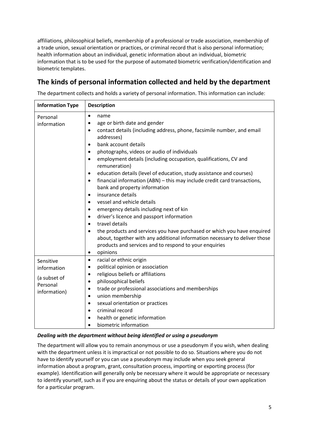affiliations, philosophical beliefs, membership of a professional or trade association, membership of a trade union, sexual orientation or practices, or criminal record that is also personal information; health information about an individual, genetic information about an individual, biometric information that is to be used for the purpose of automated biometric verification/identification and biometric templates.

## <span id="page-4-0"></span>**The kinds of personal information collected and held by the department**

The department collects and holds a variety of personal information. This information can include:

| <b>Information Type</b>                                              | <b>Description</b>                                                                                                                                                                                                                                                                                                                                                                                                                                                                                                                                                                                                                                                                                                                                                                                                                                                                                                                                                                                                                                                           |  |
|----------------------------------------------------------------------|------------------------------------------------------------------------------------------------------------------------------------------------------------------------------------------------------------------------------------------------------------------------------------------------------------------------------------------------------------------------------------------------------------------------------------------------------------------------------------------------------------------------------------------------------------------------------------------------------------------------------------------------------------------------------------------------------------------------------------------------------------------------------------------------------------------------------------------------------------------------------------------------------------------------------------------------------------------------------------------------------------------------------------------------------------------------------|--|
| Personal<br>information                                              | $\bullet$<br>name<br>age or birth date and gender<br>$\bullet$<br>contact details (including address, phone, facsimile number, and email<br>$\bullet$<br>addresses)<br>bank account details<br>$\bullet$<br>photographs, videos or audio of individuals<br>$\bullet$<br>employment details (including occupation, qualifications, CV and<br>$\bullet$<br>remuneration)<br>education details (level of education, study assistance and courses)<br>$\bullet$<br>financial information (ABN) - this may include credit card transactions,<br>$\bullet$<br>bank and property information<br>insurance details<br>$\bullet$<br>vessel and vehicle details<br>$\bullet$<br>emergency details including next of kin<br>$\bullet$<br>driver's licence and passport information<br>$\bullet$<br>travel details<br>$\bullet$<br>the products and services you have purchased or which you have enquired<br>$\bullet$<br>about, together with any additional information necessary to deliver those<br>products and services and to respond to your enquiries<br>opinions<br>$\bullet$ |  |
| Sensitive<br>information<br>(a subset of<br>Personal<br>information) | racial or ethnic origin<br>$\bullet$<br>political opinion or association<br>$\bullet$<br>religious beliefs or affiliations<br>$\bullet$<br>philosophical beliefs<br>$\bullet$<br>trade or professional associations and memberships<br>$\bullet$<br>union membership<br>$\bullet$<br>sexual orientation or practices<br>$\bullet$<br>criminal record<br>$\bullet$<br>health or genetic information<br>$\bullet$<br>biometric information<br>$\bullet$                                                                                                                                                                                                                                                                                                                                                                                                                                                                                                                                                                                                                        |  |

#### <span id="page-4-1"></span>*Dealing with the department without being identified or using a pseudonym*

The department will allow you to remain anonymous or use a pseudonym if you wish, when dealing with the department unless it is impractical or not possible to do so. Situations where you do not have to identify yourself or you can use a pseudonym may include when you seek general information about a program, grant, consultation process, importing or exporting process (for example). Identification will generally only be necessary where it would be appropriate or necessary to identify yourself, such as if you are enquiring about the status or details of your own application for a particular program.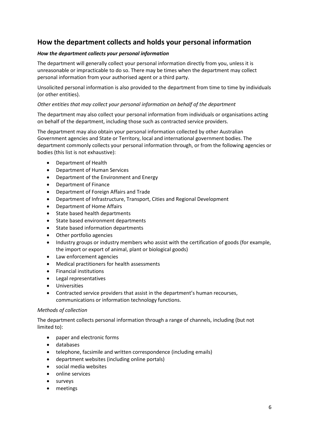## <span id="page-5-0"></span>**How the department collects and holds your personal information**

#### <span id="page-5-1"></span>*How the department collects your personal information*

The department will generally collect your personal information directly from you, unless it is unreasonable or impracticable to do so. There may be times when the department may collect personal information from your authorised agent or a third party.

Unsolicited personal information is also provided to the department from time to time by individuals (or other entities).

#### *Other entities that may collect your personal information on behalf of the department*

The department may also collect your personal information from individuals or organisations acting on behalf of the department, including those such as contracted service providers.

The department may also obtain your personal information collected by other Australian Government agencies and State or Territory, local and international government bodies. The department commonly collects your personal information through, or from the following agencies or bodies (this list is not exhaustive):

- Department of Health
- Department of Human Services
- Department of the Environment and Energy
- Department of Finance
- Department of Foreign Affairs and Trade
- Department of Infrastructure, Transport, Cities and Regional Development
- Department of Home Affairs
- State based health departments
- State based environment departments
- State based information departments
- Other portfolio agencies
- Industry groups or industry members who assist with the certification of goods (for example, the import or export of animal, plant or biological goods)
- Law enforcement agencies
- Medical practitioners for health assessments
- Financial institutions
- Legal representatives
- Universities
- Contracted service providers that assist in the department's human recourses, communications or information technology functions.

#### *Methods of collection*

The department collects personal information through a range of channels, including (but not limited to):

- paper and electronic forms
- databases
- telephone, facsimile and written correspondence (including emails)
- department websites (including online portals)
- social media websites
- online services
- surveys
- meetings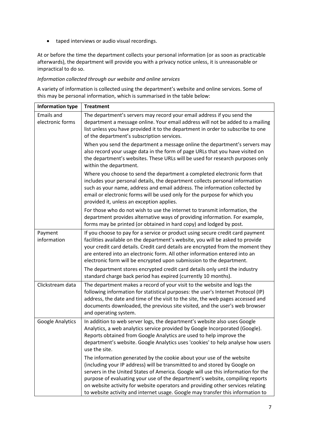taped interviews or audio visual recordings.

At or before the time the department collects your personal information (or as soon as practicable afterwards), the department will provide you with a privacy notice unless, it is unreasonable or impractical to do so.

#### *Information collected through our website and online services*

A variety of information is collected using the department's website and online services. Some of this may be personal information, which is summarised in the table below:

| <b>Information type</b>               | <b>Treatment</b>                                                                                                                                                                                                                                                                                                                                                                                                                                                                                |  |
|---------------------------------------|-------------------------------------------------------------------------------------------------------------------------------------------------------------------------------------------------------------------------------------------------------------------------------------------------------------------------------------------------------------------------------------------------------------------------------------------------------------------------------------------------|--|
| <b>Emails and</b><br>electronic forms | The department's servers may record your email address if you send the<br>department a message online. Your email address will not be added to a mailing<br>list unless you have provided it to the department in order to subscribe to one<br>of the department's subscription services.                                                                                                                                                                                                       |  |
|                                       | When you send the department a message online the department's servers may<br>also record your usage data in the form of page URLs that you have visited on<br>the department's websites. These URLs will be used for research purposes only<br>within the department.                                                                                                                                                                                                                          |  |
|                                       | Where you choose to send the department a completed electronic form that<br>includes your personal details, the department collects personal information<br>such as your name, address and email address. The information collected by<br>email or electronic forms will be used only for the purpose for which you<br>provided it, unless an exception applies.                                                                                                                                |  |
|                                       | For those who do not wish to use the internet to transmit information, the<br>department provides alternative ways of providing information. For example,<br>forms may be printed (or obtained in hard copy) and lodged by post.                                                                                                                                                                                                                                                                |  |
| Payment<br>information                | If you choose to pay for a service or product using secure credit card payment<br>facilities available on the department's website, you will be asked to provide<br>your credit card details. Credit card details are encrypted from the moment they<br>are entered into an electronic form. All other information entered into an<br>electronic form will be encrypted upon submission to the department.                                                                                      |  |
|                                       | The department stores encrypted credit card details only until the industry<br>standard charge back period has expired (currently 10 months).                                                                                                                                                                                                                                                                                                                                                   |  |
| Clickstream data                      | The department makes a record of your visit to the website and logs the<br>following information for statistical purposes: the user's Internet Protocol (IP)<br>address, the date and time of the visit to the site, the web pages accessed and<br>documents downloaded, the previous site visited, and the user's web browser<br>and operating system.                                                                                                                                         |  |
| Google Analytics                      | In addition to web server logs, the department's website also uses Google<br>Analytics, a web analytics service provided by Google Incorporated (Google).<br>Reports obtained from Google Analytics are used to help improve the<br>department's website. Google Analytics uses 'cookies' to help analyse how users<br>use the site.                                                                                                                                                            |  |
|                                       | The information generated by the cookie about your use of the website<br>(including your IP address) will be transmitted to and stored by Google on<br>servers in the United States of America. Google will use this information for the<br>purpose of evaluating your use of the department's website, compiling reports<br>on website activity for website operators and providing other services relating<br>to website activity and internet usage. Google may transfer this information to |  |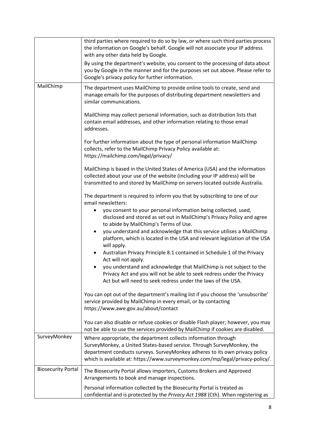|                           | third parties where required to do so by law, or where such third parties process<br>the information on Google's behalf. Google will not associate your IP address<br>with any other data held by Google.                                                                                                |
|---------------------------|----------------------------------------------------------------------------------------------------------------------------------------------------------------------------------------------------------------------------------------------------------------------------------------------------------|
|                           | By using the department's website, you consent to the processing of data about<br>you by Google in the manner and for the purposes set out above. Please refer to<br>Google's privacy policy for further information.                                                                                    |
| MailChimp                 | The department uses MailChimp to provide online tools to create, send and<br>manage emails for the purposes of distributing department newsletters and<br>similar communications.                                                                                                                        |
|                           | MailChimp may collect personal information, such as distribution lists that<br>contain email addresses, and other information relating to those email<br>addresses.                                                                                                                                      |
|                           | For further information about the type of personal information MailChimp<br>collects, refer to the MailChimp Privacy Policy available at:<br>https://mailchimp.com/legal/privacy/                                                                                                                        |
|                           | MailChimp is based in the United States of America (USA) and the information<br>collected about your use of the website (including your IP address) will be<br>transmitted to and stored by MailChimp on servers located outside Australia.                                                              |
|                           | The department is required to inform you that by subscribing to one of our<br>email newsletters:                                                                                                                                                                                                         |
|                           | you consent to your personal information being collected, used,<br>disclosed and stored as set out in MailChimp's Privacy Policy and agree<br>to abide by MailChimp's Terms of Use.                                                                                                                      |
|                           | you understand and acknowledge that this service utilises a MailChimp<br>platform, which is located in the USA and relevant legislation of the USA<br>will apply.                                                                                                                                        |
|                           | Australian Privacy Principle 8.1 contained in Schedule 1 of the Privacy<br>$\bullet$<br>Act will not apply.                                                                                                                                                                                              |
|                           | you understand and acknowledge that MailChimp is not subject to the<br>Privacy Act and you will not be able to seek redress under the Privacy<br>Act but will need to seek redress under the laws of the USA.                                                                                            |
|                           | You can opt out of the department's mailing list if you choose the 'unsubscribe'<br>service provided by MailChimp in every email, or by contacting<br>https://www.awe.gov.au/about/contact                                                                                                               |
|                           | You can also disable or refuse cookies or disable Flash player; however, you may<br>not be able to use the services provided by MailChimp if cookies are disabled.                                                                                                                                       |
| SurveyMonkey              | Where appropriate, the department collects information through<br>SurveyMonkey, a United States-based service. Through SurveyMonkey, the<br>department conducts surveys. SurveyMonkey adheres to its own privacy policy<br>which is available at: https://www.surveymonkey.com/mp/legal/privacy-policy/. |
| <b>Biosecurity Portal</b> | The Biosecurity Portal allows importers, Customs Brokers and Approved<br>Arrangements to book and manage inspections.                                                                                                                                                                                    |
|                           | Personal information collected by the Biosecurity Portal is treated as<br>confidential and is protected by the Privacy Act 1988 (Cth). When registering as                                                                                                                                               |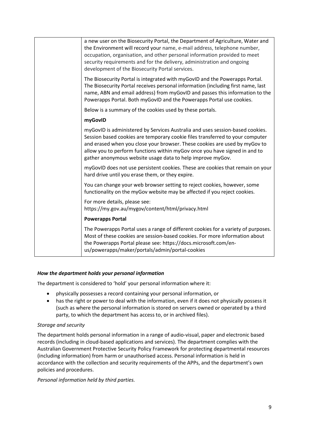| a new user on the Biosecurity Portal, the Department of Agriculture, Water and<br>the Environment will record your name, e-mail address, telephone number,<br>occupation, organisation, and other personal information provided to meet<br>security requirements and for the delivery, administration and ongoing<br>development of the Biosecurity Portal services.                     |
|------------------------------------------------------------------------------------------------------------------------------------------------------------------------------------------------------------------------------------------------------------------------------------------------------------------------------------------------------------------------------------------|
| The Biosecurity Portal is integrated with myGovID and the Powerapps Portal.<br>The Biosecurity Portal receives personal information (including first name, last<br>name, ABN and email address) from myGovID and passes this information to the<br>Powerapps Portal. Both myGovID and the Powerapps Portal use cookies.                                                                  |
| Below is a summary of the cookies used by these portals.                                                                                                                                                                                                                                                                                                                                 |
| myGovID                                                                                                                                                                                                                                                                                                                                                                                  |
| myGovID is administered by Services Australia and uses session-based cookies.<br>Session based cookies are temporary cookie files transferred to your computer<br>and erased when you close your browser. These cookies are used by myGov to<br>allow you to perform functions within myGov once you have signed in and to<br>gather anonymous website usage data to help improve myGov. |
| myGovID does not use persistent cookies. These are cookies that remain on your<br>hard drive until you erase them, or they expire.                                                                                                                                                                                                                                                       |
| You can change your web browser setting to reject cookies, however, some<br>functionality on the myGov website may be affected if you reject cookies.                                                                                                                                                                                                                                    |
| For more details, please see:<br>https://my.gov.au/mygov/content/html/privacy.html                                                                                                                                                                                                                                                                                                       |
| <b>Powerapps Portal</b>                                                                                                                                                                                                                                                                                                                                                                  |
| The Powerapps Portal uses a range of different cookies for a variety of purposes.<br>Most of these cookies are session-based cookies. For more information about<br>the Powerapps Portal please see: https://docs.microsoft.com/en-<br>us/powerapps/maker/portals/admin/portal-cookies                                                                                                   |

#### <span id="page-8-0"></span>*How the department holds your personal information*

The department is considered to 'hold' your personal information where it:

- physically possesses a record containing your personal information, or
- has the right or power to deal with the information, even if it does not physically possess it (such as where the personal information is stored on servers owned or operated by a third party, to which the department has access to, or in archived files).

#### *Storage and security*

The department holds personal information in a range of audio-visual, paper and electronic based records (including in cloud-based applications and services). The department complies with the Australian Government Protective Security Policy Framework for protecting departmental resources (including information) from harm or unauthorised access. Personal information is held in accordance with the collection and security requirements of the APPs, and the department's own policies and procedures.

*Personal information held by third parties.*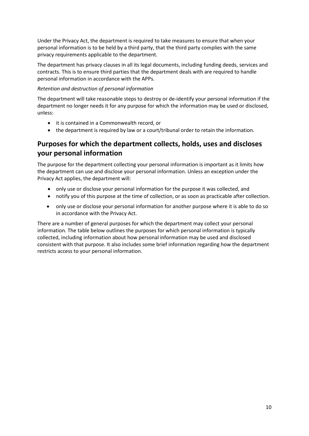Under the Privacy Act, the department is required to take measures to ensure that when your personal information is to be held by a third party, that the third party complies with the same privacy requirements applicable to the department.

The department has privacy clauses in all its legal documents, including funding deeds, services and contracts. This is to ensure third parties that the department deals with are required to handle personal information in accordance with the APPs.

#### *Retention and destruction of personal information*

The department will take reasonable steps to destroy or de-identify your personal information if the department no longer needs it for any purpose for which the information may be used or disclosed, unless:

- it is contained in a Commonwealth record, or
- the department is required by law or a court/tribunal order to retain the information.

# <span id="page-9-0"></span>**Purposes for which the department collects, holds, uses and discloses your personal information**

The purpose for the department collecting your personal information is important as it limits how the department can use and disclose your personal information. Unless an exception under the Privacy Act applies, the department will:

- only use or disclose your personal information for the purpose it was collected, and
- notify you of this purpose at the time of collection, or as soon as practicable after collection.
- only use or disclose your personal information for another purpose where it is able to do so in accordance with the Privacy Act.

There are a number of general purposes for which the department may collect your personal information. The table below outlines the purposes for which personal information is typically collected, including information about how personal information may be used and disclosed consistent with that purpose. It also includes some brief information regarding how the department restricts access to your personal information.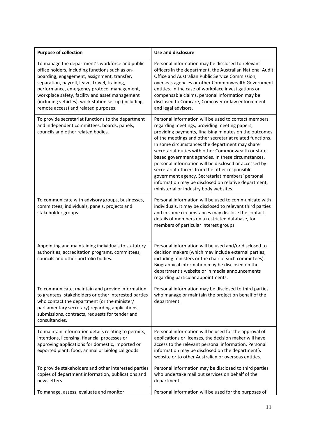| <b>Purpose of collection</b>                                                                                                                                                                                                                                                                                                                                                                         | Use and disclosure                                                                                                                                                                                                                                                                                                                                                                                                                                                                                                                                                                                                                                           |
|------------------------------------------------------------------------------------------------------------------------------------------------------------------------------------------------------------------------------------------------------------------------------------------------------------------------------------------------------------------------------------------------------|--------------------------------------------------------------------------------------------------------------------------------------------------------------------------------------------------------------------------------------------------------------------------------------------------------------------------------------------------------------------------------------------------------------------------------------------------------------------------------------------------------------------------------------------------------------------------------------------------------------------------------------------------------------|
| To manage the department's workforce and public<br>office holders, including functions such as on-<br>boarding, engagement, assignment, transfer,<br>separation, payroll, leave, travel, training,<br>performance, emergency protocol management,<br>workplace safety, facility and asset management<br>(including vehicles), work station set up (including<br>remote access) and related purposes. | Personal information may be disclosed to relevant<br>officers in the department, the Australian National Audit<br>Office and Australian Public Service Commission,<br>overseas agencies or other Commonwealth Government<br>entities. In the case of workplace investigations or<br>compensable claims, personal information may be<br>disclosed to Comcare, Comcover or law enforcement<br>and legal advisors.                                                                                                                                                                                                                                              |
| To provide secretariat functions to the department<br>and independent committees, boards, panels,<br>councils and other related bodies.                                                                                                                                                                                                                                                              | Personal information will be used to contact members<br>regarding meetings, providing meeting papers,<br>providing payments, finalising minutes on the outcomes<br>of the meetings and other secretariat related functions.<br>In some circumstances the department may share<br>secretariat duties with other Commonwealth or state<br>based government agencies. In these circumstances,<br>personal information will be disclosed or accessed by<br>secretariat officers from the other responsible<br>government agency. Secretariat members' personal<br>information may be disclosed on relative department,<br>ministerial or industry body websites. |
| To communicate with advisory groups, businesses,<br>committees, individuals, panels, projects and<br>stakeholder groups.                                                                                                                                                                                                                                                                             | Personal information will be used to communicate with<br>individuals. It may be disclosed to relevant third parties<br>and in some circumstances may disclose the contact<br>details of members on a restricted database, for<br>members of particular interest groups.                                                                                                                                                                                                                                                                                                                                                                                      |
| Appointing and maintaining individuals to statutory<br>authorities, accreditation programs, committees,<br>councils and other portfolio bodies.                                                                                                                                                                                                                                                      | Personal information will be used and/or disclosed to<br>decision makers (which may include external parties,<br>including ministers or the chair of such committees).<br>Biographical information may be disclosed on the<br>department's website or in media announcements<br>regarding particular appointments.                                                                                                                                                                                                                                                                                                                                           |
| To communicate, maintain and provide information<br>to grantees, stakeholders or other interested parties<br>who contact the department (or the minister/<br>parliamentary secretary) regarding applications,<br>submissions, contracts, requests for tender and<br>consultancies.                                                                                                                   | Personal information may be disclosed to third parties<br>who manage or maintain the project on behalf of the<br>department.                                                                                                                                                                                                                                                                                                                                                                                                                                                                                                                                 |
| To maintain information details relating to permits,<br>intentions, licensing, financial processes or<br>approving applications for domestic, imported or<br>exported plant, food, animal or biological goods.                                                                                                                                                                                       | Personal information will be used for the approval of<br>applications or licenses, the decision maker will have<br>access to the relevant personal information. Personal<br>information may be disclosed on the department's<br>website or to other Australian or overseas entities.                                                                                                                                                                                                                                                                                                                                                                         |
| To provide stakeholders and other interested parties<br>copies of department information, publications and<br>newsletters.                                                                                                                                                                                                                                                                           | Personal information may be disclosed to third parties<br>who undertake mail out services on behalf of the<br>department.                                                                                                                                                                                                                                                                                                                                                                                                                                                                                                                                    |
| To manage, assess, evaluate and monitor                                                                                                                                                                                                                                                                                                                                                              | Personal information will be used for the purposes of                                                                                                                                                                                                                                                                                                                                                                                                                                                                                                                                                                                                        |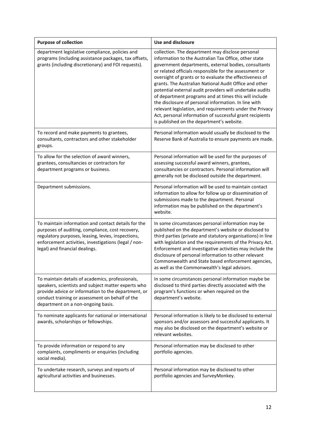| <b>Purpose of collection</b>                                                                                                                                                                                                                            | <b>Use and disclosure</b>                                                                                                                                                                                                                                                                                                                                                                                                                                                                                                                                                                                                                                                                          |
|---------------------------------------------------------------------------------------------------------------------------------------------------------------------------------------------------------------------------------------------------------|----------------------------------------------------------------------------------------------------------------------------------------------------------------------------------------------------------------------------------------------------------------------------------------------------------------------------------------------------------------------------------------------------------------------------------------------------------------------------------------------------------------------------------------------------------------------------------------------------------------------------------------------------------------------------------------------------|
| department legislative compliance, policies and<br>programs (including assistance packages, tax offsets,<br>grants (including discretionary) and FOI requests).                                                                                         | collection. The department may disclose personal<br>information to the Australian Tax Office, other state<br>government departments, external bodies, consultants<br>or related officials responsible for the assessment or<br>oversight of grants or to evaluate the effectiveness of<br>grants. The Australian National Audit Office and other<br>potential external audit providers will undertake audits<br>of department programs and at times this will include<br>the disclosure of personal information. In line with<br>relevant legislation, and requirements under the Privacy<br>Act, personal information of successful grant recipients<br>is published on the department's website. |
| To record and make payments to grantees,<br>consultants, contractors and other stakeholder<br>groups.                                                                                                                                                   | Personal information would usually be disclosed to the<br>Reserve Bank of Australia to ensure payments are made.                                                                                                                                                                                                                                                                                                                                                                                                                                                                                                                                                                                   |
| To allow for the selection of award winners,<br>grantees, consultancies or contractors for<br>department programs or business.                                                                                                                          | Personal information will be used for the purposes of<br>assessing successful award winners, grantees,<br>consultancies or contractors. Personal information will<br>generally not be disclosed outside the department.                                                                                                                                                                                                                                                                                                                                                                                                                                                                            |
| Department submissions.                                                                                                                                                                                                                                 | Personal information will be used to maintain contact<br>information to allow for follow up or dissemination of<br>submissions made to the department. Personal<br>information may be published on the department's<br>website.                                                                                                                                                                                                                                                                                                                                                                                                                                                                    |
| To maintain information and contact details for the<br>purposes of auditing, compliance, cost recovery,<br>regulatory purposes, leasing, levies, inspections,<br>enforcement activities, investigations (legal / non-<br>legal) and financial dealings. | In some circumstances personal information may be<br>published on the department's website or disclosed to<br>third parties (private and statutory organisations) in line<br>with legislation and the requirements of the Privacy Act.<br>Enforcement and investigative activities may include the<br>disclosure of personal information to other relevant<br>Commonwealth and State based enforcement agencies,<br>as well as the Commonwealth's legal advisors.                                                                                                                                                                                                                                  |
| To maintain details of academics, professionals,<br>speakers, scientists and subject matter experts who<br>provide advice or information to the department, or<br>conduct training or assessment on behalf of the<br>department on a non-ongoing basis. | In some circumstances personal information maybe be<br>disclosed to third parties directly associated with the<br>program's functions or when required on the<br>department's website.                                                                                                                                                                                                                                                                                                                                                                                                                                                                                                             |
| To nominate applicants for national or international<br>awards, scholarships or fellowships.                                                                                                                                                            | Personal information is likely to be disclosed to external<br>sponsors and/or assessors and successful applicants. It<br>may also be disclosed on the department's website or<br>relevant websites.                                                                                                                                                                                                                                                                                                                                                                                                                                                                                                |
| To provide information or respond to any<br>complaints, compliments or enquiries (including<br>social media).                                                                                                                                           | Personal information may be disclosed to other<br>portfolio agencies.                                                                                                                                                                                                                                                                                                                                                                                                                                                                                                                                                                                                                              |
| To undertake research, surveys and reports of<br>agricultural activities and businesses.                                                                                                                                                                | Personal information may be disclosed to other<br>portfolio agencies and SurveyMonkey.                                                                                                                                                                                                                                                                                                                                                                                                                                                                                                                                                                                                             |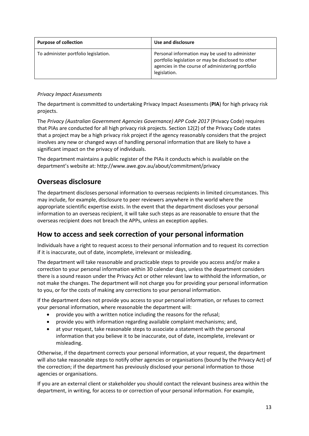| <b>Purpose of collection</b>         | Use and disclosure                                                                                                                                                        |
|--------------------------------------|---------------------------------------------------------------------------------------------------------------------------------------------------------------------------|
| To administer portfolio legislation. | Personal information may be used to administer<br>portfolio legislation or may be disclosed to other<br>agencies in the course of administering portfolio<br>legislation. |

#### *Privacy Impact Assessments*

The department is committed to undertaking Privacy Impact Assessments (**PIA**) for high privacy risk projects.

The *Privacy (Australian Government Agencies Governance) APP Code 2017* (Privacy Code) requires that PIAs are conducted for all high privacy risk projects. Section 12(2) of the Privacy Code states that a project may be a high privacy risk project if the agency reasonably considers that the project involves any new or changed ways of handling personal information that are likely to have a significant impact on the privacy of individuals.

The department maintains a public register of the PIAs it conducts which is available on the department's website at: http://www.awe.gov.au/about/commitment/privacy

### <span id="page-12-0"></span>**Overseas disclosure**

The department discloses personal information to overseas recipients in limited circumstances. This may include, for example, disclosure to peer reviewers anywhere in the world where the appropriate scientific expertise exists. In the event that the department discloses your personal information to an overseas recipient, it will take such steps as are reasonable to ensure that the overseas recipient does not breach the APPs, unless an exception applies.

### <span id="page-12-1"></span>**How to access and seek correction of your personal information**

Individuals have a right to request access to their personal information and to request its correction if it is inaccurate, out of date, incomplete, irrelevant or misleading.

The department will take reasonable and practicable steps to provide you access and/or make a correction to your personal information within 30 calendar days, unless the department considers there is a sound reason under the Privacy Act or other relevant law to withhold the information, or not make the changes. The department will not charge you for providing your personal information to you, or for the costs of making any corrections to your personal information.

If the department does not provide you access to your personal information, or refuses to correct your personal information, where reasonable the department will:

- provide you with a written notice including the reasons for the refusal;
- provide you with information regarding available complaint mechanisms; and,
- at your request, take reasonable steps to associate a statement with the personal information that you believe it to be inaccurate, out of date, incomplete, irrelevant or misleading.

Otherwise, if the department corrects your personal information, at your request, the department will also take reasonable steps to notify other agencies or organisations (bound by the Privacy Act) of the correction; if the department has previously disclosed your personal information to those agencies or organisations.

If you are an external client or stakeholder you should contact the relevant business area within the department, in writing, for access to or correction of your personal information. For example,